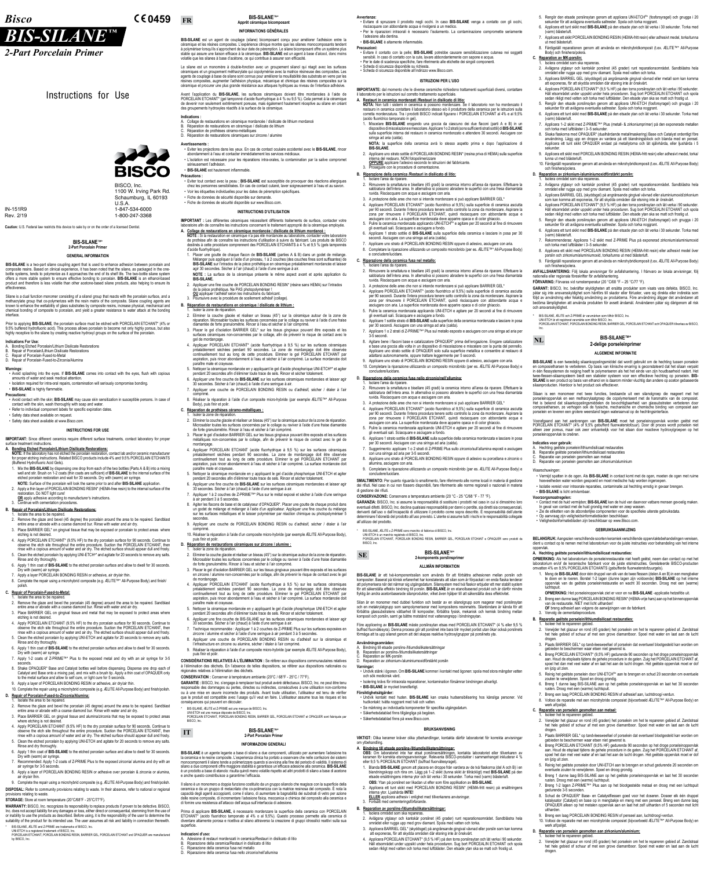Instructions for Use

**BISCO** 

# *BIS-SILANE ™*

*2-Part Porcelain Primer*

# *Bisco* **0459**

BISCO, Inc. 1100 W. Irving Park Rd. Schaumburg, IL 60193 U.S.A. 1-847-534-6000 1-800-247-3368

IN-151R9 Rev. 2/19

**Caution:** U.S. Federal law restricts this device to sale by or on the order of a licensed Dentist.

# **BIS-SILANE™\* 2-Part Porcelain Primer**

### **GENERAL INFORMATION**

**BIS-SILANE** is a two-part silane coupling agent that is used to enhance adhesion between porcelain and composite resins. Based on clinical experience, it has been noted that the silane, as packaged in the onebottle systems, tends to polymerize as it approaches the end of its shelf life. The two-bottle silane system offers a more stable system to ensure effective bonding to porcelain. **BIS-SILANE** is an ethanol-based product and therefore is less volatile than other acetone-based silane products, also helping to ensure its effectiveness.

Silane is a dual function monomer consisting of a silanol group that reacts with the porcelain surface, and a methacrylate group that co-polymerizes with the resin matrix of the composite. Silane coupling agents are known to enhance the wettability of glass substrates by composite resins, increase physical, mechanical and chemical bonding of composite to porcelain, and yield a greater resistance to water attack at the bonding interface.

Prior to applying **BIS-SILANE**, the porcelain surface must be etched with PORCELAIN ETCHANT\* (4% or 9.5% buffered hydrofluoric acid). This process allows porcelain to become not only highly porous, but also highly receptive to the silane by creating reactive hydroxyl groups on the surface of the porcelain.

- **A. Bonding Etched Porcelain/Lithium Disilicate Restorations: NOTE:** If the laboratory has not etched the porcelain restoration, contact lab and/or ceramic manufacturer for proper etching instructions. Related BISCO products include 4% and 9.5% PORCELAIN ETCHANTS (Buffered Hydrofluoric Acid Gels).
- 1. Mix the **BIS-SILANE** by dispensing one drop from each of the two bottles (Parts A & B) into a mixing well and stir. Brush on 1-2 coats (thin coats are sufficient) of **BIS-SILANE** to the internal surface of the etched porcelain restoration and wait for 30 seconds. Dry with (warm) air syringe.  **NOTE:** Surface of the porcelain will look the same prior to and after **BIS-SILANE** application.
- 2. Apply a thin layer of PORCELAIN BONDING RESIN\* (HEMA-free resin) to the internal surface of the restoration. Do NOT light cure!
- **OR** apply adhesive according to manufacturer's instructions. Continue with cementation procedures.

#### **Indications For Use:**

- A. Bonding Etched Porcelain/Lithium Disilicate Restorations
- B. Repair of Porcelain/Lithium Disilicate Restorations
- Repair of Porcelain-Fused-to-Metal D. Repair of Porcelain-Fused-to-Zirconia/Alumina
- 

**Warnings:** • Avoid splashing into the eyes. If **BIS-SILANE** comes into contact with the eyes, flush with copious amounts of water and seek medical attention.

• Isolation required for intra-oral repairs, contamination will seriously compromise bonding.

# • **BIS-SILANE** is highly flammable.

- **Precautions:** • Avoid contact with the skin; **BIS-SILANE** may cause skin sensitization in susceptible persons. In case of contact with the skin, wash thoroughly with soap and water.
- Refer to individual component labels for specific expiration dates.
- Safety data sheet available on request.
- Safety data sheet available at www.Bisco.com.
	- **INSTRUCTIONS FOR USE**

**IMPORTANT:** Since different ceramics require different surface treatments, contact laboratory for proper surface treatment instructions.

- 2. Remove the glaze and bevel the porcelain (45 degree) around the area to be repaired. Sandblast entire area or abrade with a coarse diamond bur. Rinse with water and air dry.
- 3. Place BARRIER GEL on gingival tissue and alumina/zirconia that may be exposed to protect areas where etching is not desired

# **B. Repair of Porcelain/Lithium Disilicate Restorations:**

# 1. Isolate the area to be repaired.

- 2. Remove the glaze and bevel (45 degree) the porcelain around the area to be repaired. Sandblast entire area or abrade with a coarse diamond bur. Rinse with water and air dry.
- 3. Place BARRIER GEL\* on gingival tissue that may be exposed or porcelain to protect areas where etching is not desired.
- 4. Apply PORCELAIN ETCHANT\* (9.5% HF) to the dry porcelain surface for 90 seconds. Continue to observe the etch site throughout the entire procedure. Suction the PORCELAIN ETCHANT, then rinse with a copious amount of water and air dry. The etched surface should appear dull and frosty.
- 5. Clean the etched porcelain by applying UNI-ETCH<sup>®\*</sup> and agitate for 20 seconds to remove any salts. Rinse and dry thoroughly.
- 6. Apply 1 thin coat of **BIS-SILANE** to the etched porcelain surface and allow to dwell for 30 seconds. Dry with (warm) air syringe.
- Apply a layer PORCELAIN BONDING RESIN or adhesive, air dry/air thin.
- 8. Complete the repair using a microhybrid composite (e.g. ÆLITE™\* All-Purpose Body) and finish/ polish.

#### **C. Repair of Porcelain-Fused-to-Metal:**

1. Isolate the area to be repaired.

- 2. Remove the glaze and bevel the porcelain (45 degree) around the area to be repaired. Sandblast entire area or abrade with a coarse diamond bur. Rinse with water and air dry.
- 3. Place BARRIER GEL on gingival tissue and metal that may be exposed to protect areas where etching is not desired.
- 4. Apply PORCELAIN ETCHANT (9.5% HF) to the dry porcelain surface for 90 seconds. Continue to observe the etch site throughout the entire procedure. Suction the PORCELAIN ETCHANT, then rinse with a copious amount of water and air dry. The etched surface should appear dull and frosty.
- 5. Clean the etched porcelain by applying UNI-ETCH and agitate for 20 seconds to remove any salts. Rinse and dry thoroughly.
- 6. Apply 1 thin coat of **BIS-SILANE** to the etched porcelain surface and allow to dwell for 30 seconds. Dry with (warm) air syringe.
- 7. Apply 1-2 coats of Z-PRIME™\* Plus to the exposed metal and dry with an air syringe for 3-5 seconds.
- 8. Shake OPAQUER\* Base and Catalyst bottles well before dispensing. Dispense one drop each of Catalyst and Base onto a mixing pad, and mix with a brush tip. Apply a thin coat of OPAQUER only to the metal surface and allow to self cure, or light cure for 5 seconds.
- 9. Apply a layer of PORCELAIN BONDING RESIN or adhesive, air dry/air thin.
- 10. Complete the repair using a microhybrid composite (e.g. ÆLITE All-Purpose Body) and finish/polish.

#### **D. Repair of Porcelain-Fused-to-Zirconia/Alumina:**

1. Isolate the area to be repaired.

4. Apply PORCELAIN ETCHANT (9.5% HF) to the dry porcelain surface for 90 seconds. Continue to observe the etch site throughout the entire procedure. Suction the PORCELAIN ETCHANT, then rinse with a copious amount of water and air dry. The etched surface should appear dull and frosty.

- Isoler la zone de réparation. 2. Eliminer la couche glacée et réaliser un biseau (45°) sur la céramique autour de la zone de réparation. Microsabler toutes les surfaces concernées par le collage ou raviver à l'aide d'une fraise
- diamantée de forte granulométrie. Rincer à l'eau et sécher à l'air comprimé. 3. Placer le gel d'isolation BARRIER GEL\* sur les tissus gingivaux pouvant être exposés et les surfaces céramiques non-concernées par le collage, afin de prévenir le risque de contact avec le gel de mordançage.
- 4. Appliquer PORCELAIN ETCHANT\* (acide fluorhydrique à 9,5 %) sur les surfaces céramiques préalablement séchées pendant 90 secondes. La zone de mordançage doit être observée continuellement tout au long de cette procédure. Eliminer le gel PORCELAIN ETCHANT par aspiration, puis rincer abondamment à l'eau et sécher à l'air comprimé. La surface mordancée doit paraître mate et crayeuse.
- 5. Nettoyer la céramique mordancée en y appliquant le gel d'acide phosphorique UNI-ETCH®\* et agiter pendant 20 secondes afin d'éliminer toute trace de sels. Rincer et sécher totalement.
- 6. Appliquer une fine couche de **BIS-SILANE** sur les surfaces céramiques mordancées et laisser agir 30 secondes. Sécher à l'air (chaud) à l'aide d'une seringue à air.
- 7. Appliquer une couche de PORCELAIN BONDING RESIN ou d'adhésif, sécher / étaler à l'air comprimé.
- 8. Réaliser la réparation à l'aide d'un composite micro-hybride (par exemple ÆLITE™\* All-Purpose Body), puis finir et polir.

- 5. Clean the etched porcelain by applying UNI-ETCH and agitate for 20 seconds to remove any salts. Rinse and dry thoroughly.
- 6. Apply 1 thin coat of **BIS-SILANE** to the etched porcelain surface and allow to dwell for 30 seconds. Dry with (warm) air syringe.
- 7. Recommended: Apply 1-2 coats of Z-PRIME Plus to the exposed zirconia/ alumina and dry with an air syringe for 3-5 seconds.
- 8. Apply a layer of PORCELAIN BONDING RESIN or adhesive over porcelain & zirconia or alumina, air dry/air thin.
- 9. Complete the repair using a microhybrid composite (e.g. ÆLITE All-Purpose Body) and finish/polish.

**DISPOSAL:** Refer to community provisions relating to waste. In their absence, refer to national or regional provisions relating to waste.

**STORAGE:** Store at room temperature (20°C/68°F - 25°C/77°F).

secondes 9. Appliquer une couche de PORCELAIN BONDING RESIN ou d'adhésif, sécher / étaler à l'air

**WARRANTY:** BISCO, Inc. recognizes its responsibility to replace products if proven to be defective. BISCO, Inc. does not accept liability for any damages or loss, either direct or consequential, stemming from the use of or inability to use the products as described. Before using, it is the responsibility of the user to determine the suitability of the product for its intended use. The user assumes all risk and liability in connection therewith.

\* BIS-SILANE, ÆLITE and Z-PRIME are trademarks of BISCO, Inc.

UNI-ETCH is a registered trademark of BISCO, Inc. PORCELAIN ETCHANT, PORCELAIN BONDING RESIN, BARRIER GEL, PORCELAIN ETCHANT and OPAQUER are manufactured by BISCO, Inc.

#### **BIS-SILANE™\* Apprêt céramique bicomposant**

# **INFORMATIONS GÉNÉRALES**

BIS-SILANE est un agent de couplage (silane) bicomposant conçu pour améliorer l'adhésion entre la céramique et les résines composites. L'expérience clinique montre que les silanes monocomposants tendent à polymériser lorsqu'ils s'approchent de leur date de péremption. Le silane bicomposant offre un système plus stable qui assure une liaison efficace à la céramique. **BIS-SILANE** est un agent à base d'alcool, donc moins volatile que les silanes à base d'acétone, ce qui contribue à assurer son efficacite

- Isoler la zone de réparation
- 2. Eliminer la couche glacée et réaliser un biseau (45°) sur la céramique autour de la zone de réparation. Microsabler toutes les surfaces concernées par le collage ou raviver à l'aide d'une fraise diamantée de forte granulométrie. Rincer à l'eau et sécher à l'air comprimé.
- 3. Placer le gel d'isolation BARRIER GEL sur les tissus gingivaux pouvant être exposés et les surfaces en zircone / alumine non-concernées par le collage, afin de prévenir le risque de contact avec le gel de mordançage.
- 4. Appliquer PORCELAIN ETCHANT (acide fluorhydrique à 9,5 %) sur les surfaces céramiques préalablement séchées pendant 90 secondes. La zone de mordançage doit être observée continuellement tout au long de cette procédure. Eliminer le gel PORCELAIN ETCHANT par aspiration, puis rincer abondamment à l'eau et sécher à l'air comprimé. La surface mordancée doit paraître mate et crayeuse.
- 5. Nettoyer la céramique mordancée en y appliquant le gel d'acide phosphorique UNI-ETCH et agiter pendant 20 secondes afin d'éliminer toute trace de sels. Rincer et sécher totalement.
- 6. Appliquer une fine couche de BIS-SILANE sur les surfaces céramiques mordancées et laisser agir 30 secondes. Sécher à l'air (chaud) à l'aide d'une seringue à air.
- 7. Technique recommandée : Appliquer 1 à 2 couches de Z-PRIME Plus sur les surfaces exposées en zircone / alumine et sécher à l'aide d'une seringue à air pendant 3 à 5 secondes.
- 8. Appliquer une couche de PORCELAIN BONDING RESIN ou d'adhésif sur la céramique et l'infrastructure en zircone ou alumine, sécher / étaler à l'air comprimé.
- 9. Réaliser la réparation à l'aide d'un composite micro-hybride (par exemple ÆLITE All-Purpose Body), puis finir et polir.

Le silane est un monomère à double-fonction avec un groupement silanol qui réagit avec les surfaces céramiques et un groupement méthacrylate qui copolymérise avec la matrice résineuse des composites. Les agents de couplage à base de silane sont connus pour améliorer la mouillabilité des substrats en verre par les résines composites, augmenter l'adhésion physique, mécanique et chimique des résines composites sur la céramique et procurer une plus grande résistance aux attaques hydriques au niveau de l'interface adhésive.

- BIS-SILANE, ÆLITE et Z-PRIME est une marque de BISCO, Inc.
- UNI-ETCH est une marque déposée de BISCO, Inc.
- PORCELAIN ETCHANT, PORCELAIN BONDING RESIN, BARRIER GEL, PORCELAIN ETCHANT et OPAQUER sont fabriqués par BISCO, Inc.

Avant l'application du **BIS-SILANE**, les surfaces céramiques doivent être mordancées à l'aide de PORCELAIN ETCHANT\* (gel tamponné d'acide fluorhydrique à 4 % ou 9,5 %). Cela permet à la céramique de devenir non seulement extrêmement poreuse, mais également hautement réceptive au silane en créant des groupements hydroxyles réactifs à la surface de la céramique.

**BIS-SILANE** è un agente legante a base di silano a due componenti, utilizzato per aumentare l'adesione tra la ceramica e le resine composite. L'esperienza clinica ha portato a osservare che nelle confezioni dei sistemi monocomponenti il silano tende a polimerizzare quando si avvicina alla fine del periodo di validità. Il sistema di silano a due componenti offre maggiore stabilità e garantisce un'efficace adesione alla ceramica. **BIS-SILANE** è un prodotto a base di etanolo: risulta quindi meno volatile rispetto ad altri prodotti di silano a base di acetone e anche questo constribuisce a garantirne l'efficacia.

#### **Indications :**

- A. Collage de restaurations en céramique mordancée / disilicate de lithium mordancé
- Réparation de restaurations en céramique / disilicate de lithium
- Réparation de prothèses céramo-métalliques D. Réparation de restaurations céramiques sur zircone / alumine

#### **Avertissements :**

- Adesione di restauri mordenzati in ceramica/Restauri in disilicato di litio
- B. Riparazione della ceramica/Restauri in disilicato di litio
- Riparazione della ceramica fusa nel metallo
- D. Riparazione della ceramica fusa nello zirconio/nell'allumina

• Eviter les projections dans les yeux. En cas de contact oculaire accidentel avec le **BIS-SILANE**, rincer abondamment à l'eau et contacter immédiatement les services médicaux. • L'isolation est nécessaire pour les réparations intra-orales, la contamination par la salive compromet

sérieusement l'adhésion. • **BIS-SILANE** est hautement inflammable.

#### **Précautions :**

• Eviter tout contact avec la peau ; **BIS-SILANE** est susceptible de provoquer des réactions allergiques chez les personnes sensibilisées. En cas de contact cutané, laver soigneusement à l'eau et au savon. • Voir les étiquettes individuelles pour les dates de péremption spécifiques.

- Fiche de données de sécurité disponible sur demande.
- Fiche de données de sécurité disponible sur www.Bisco.com.
	- **INSTRUCTIONS D'UTILISATION**

**IMPORTANT :** Les différentes céramiques nécessitent différents traitements de surface, contacter votre laboratoire afin de connaître les instructions concernant le traitement approprié de la céramique employée.

- **A. Collage de restaurations en céramique mordancée / disilicate de lithium mordancé :**
- **NOTE :** Si la restauration en céramique n'a pas été mordancée au laboratoire, contacter votre laboratoire de prothèse afin de connaître les instructions d'utilisation à suivre du fabricant. Les produits de BISCO destinés à cette procédure comprennent des PORCELAIN ETCHANTS à 4 % et 9,5 % (gels tamponnés d'acide fluorhydrique). 1. Placer une goutte de chaque flacon de **BIS-SILANE** (parties A & B) dans un godet de mélange.
- Mélanger puis appliquer à l'aide d'un pinceau, 1 à 2 couches (des couches fines sont suffisantes) de **BIS-SILANE** sur l'intrados de la pièce prothétique en ceramique préalablement mordancée et laisser agir 30 secondes. Sécher à l'air (chaud) à l'aide d'une seringue à air.
- **NOTE :** La surface de la céramique présente le même aspect avant et après application du **BIS-SILANE.**
- 2. Appliquer une fine couche de PORCELAIN BONDING RESIN\* (résine sans HEMA) sur l'intrados de la pièce prothétique. Ne PAS photopolymériser !
- **OU** appliquer l'adhésif selon les instructions du fabricant.
- 3. Poursuivre avec la procédure de scellement adhésif (collage).

2. Rimuovere la smaltatura e bisellare (45 gradi) la ceramica intorno all'area da riparare. Effettuare la sabbiatura dell'intera area. In alternativa si possono abradere le superfici con una fresa diamantata

3. A protezione delle aree che non si intende mordenzare si può applicare BARRIER GEL\* 4. Applicare PORCELAIN ETCHANT\* (acido fluoridrico al 9,5%) sulla superficie di ceramica asciutta per 90 secondi. Durante l'intera procedura tenere sotto controllo la zona da mordenzare. Aspirare la zona per rimuovere il PORCELAIN ETCHANT, quindi risciacquare con abbondante acqua e

# **B. Réparation de restaurations en céramique / disilicate de lithium :**

2. Rimuovere la smaltatura e bisellare (45 gradi) la ceramica intorno all'area da riparare. Effettuare la sabbiatura dell'intera area. In alternativa si possono abradere le superfici con una fresa diamantata

3. A protezione delle aree che non si intende mordenzare si può applicare BARRIER GEL\* 4. Applicare PORCELAIN ETCHANT\* (acido fluoridrico al 9,5%) sulla superficie di ceramica asciutta per 90 secondi. Durante l'intera procedura tenere sotto controllo la zona da mordenzare. Aspirare la zona per rimuovere il PORCELAIN ETCHANT, quindi risciacquare con abbondante acqua e asciugare con aria. La superficie mordenzata deve apparire opaca e di color ghiaccio. 5. Pulire la ceramica mordenzata applicando UNI-ETCH e agitare per 20 secondi al fine di rimuovere

# **C. Réparation de prothèses céramo-métalliques :**

doneità del prodotto all'uso previsto. L'utente si assume tutti i rischi e le respo all'utilizzo del prodotto.

BIS-SILANE, ÆLITE e Z-PRIME sono marchio di fabbrica di BISCO, Inc.

**BIS-SILANE** är ett två-komponentssilan som används för att förbättra adhesionen mellan porslin och kompositer. Baserat på klinisk erfarenhet har konstaterats att silan som är förpackat i en enda flaska tenderar att polymerisera när det närmar sig utgångsdatum. Silansystem med två flaskor erbjuder ett mer stabilt system för att säkerställa effektiv bindning till porslin. **BIS-SILANE** är en etanolbaserad produkt och är därför mindre flyktig än andra acetonbaserade silanprodukter, vilket även hjälper till att säkerställa dess effektivitet.

- 1. Isoler la zone de réparation.
- 2. Eliminer la couche glacée et réaliser un biseau (45°) sur la céramique autour de la zone de réparation. Microsabler toutes les surfaces concernées par le collage ou raviver à l'aide d'une fraise diamantée de forte granulométrie. Rincer à l'eau et sécher à l'air comprimé.
- 3. Placer le gel d'isolation BARRIER GEL sur les tissus gingivaux pouvant être exposés et les surfaces métalliques non-concernées par le collage, afin de prévenir le risque de contact avec le gel de mordançage.
- 4. Appliquer PORCELAIN ETCHANT (acide fluorhydrique à 9,5 %) sur les surfaces céramiques préalablement séchées pendant 90 secondes. La zone de mordançage doit être observée continuellement tout au long de cette procédure. Eliminer le gel PORCELAIN ETCHANT par aspiration, puis rincer abondamment à l'eau et sécher à l'air comprimé. La surface mordancée doit paraître mate et crayeuse.
- 5. Nettoyer la céramique mordancée en y appliquant le gel d'acide phosphorique UNI-ETCH et agiter pendant 20 secondes afin d'éliminer toute trace de sels. Rincer et sécher totalement. 6. Appliquer une fine couche de **BIS-SILANE** sur les surfaces céramiques mordancées et laisser agir
- 30 secondes. Sécher à l'air (chaud) à l'aide d'une seringue à air.
- 7. Appliquer 1 à 2 couches de Z-PRIME™\* Plus sur le métal exposé et sécher à l'aide d'une seringue à air pendant 3 à 5 secondes.
- 8. Agiter les flacons de base et de catalyseur d'OPAQUER\*. Placer une goutte de chaque produit dans un godet de mélange et mélanger à l'aide d'un applicateur. Appliquer une fine couche du mélange sur les surfaces métalliques et le laisser polymériser par réaction chimique ou photopolymériser 5

**OBS:** Om laboratoriet inte har etsat porslinsersättningen, kontakta laboratoriet eller tillverkaren av keramen för korrekta etsningsanvisningar. Relevanta BISCO-produkter i sammanhanget inkluderar 4 % eller 9,5 % PORCEALIN ETCHANT (buffrad fluorvätesyragel).

 comprimé. 10. Réaliser la réparation à l'aide d'un composite micro-hybride (par exemple ÆLITE All-Purpose Body), puis finir et polir.

# **D. Réparation de restaurations céramiques sur zircone / alumine :**

**CONSIDÉRATIONS RELATIVES À L'ÉLIMINATION :** Se référer aux dispositions communautaires relatives à l'élimination des déchets. En l'absence de telles dispositions, se référer aux dispositions nationales ou régionales relatives à l'élimination des déchets.

**CONSERVATION :** Conserver à température ambiante (20°C / 68°F - 25°C / 77°F).

**GARANTIE :** BISCO, Inc. s'engage à remplacer tout produit avéré défectueux. BISCO, Inc. ne peut être tenu responsable des dommages ou pertes, directes ou indirectes, consécutives à une utilisation non-conforme ou à une mise en œuvre incorrecte des produits. Avant toute utilisation, l'utilisateur est tenu de vérifier que le produit est compatible avec l'usage qu'il veut en faire. L'utilisateur assume tous les risques et les conséquences qui peuvent en découler.

BIS-SILANE, ÆLITE och Z-PRIME är varumärken som tillhör BISCO, Inc. UNI-ETCH är ett registrerat varumärke som tillhör BISCO, Inc.

#### **BIS-SILANE™\* 2-Part Porcelain Primer**

### **INFORMAZIONI GENERALI**

Il silano è un monomero a doppia funzione costituito da un gruppo silanolo che reagisce con la superficie della ceramica e da un gruppo di metacrilato che co-polimerizza con la matrice resinosa del composito. È nota la capacità degli agenti accoppianti, come il silano, di aumentare la bagnabilità dei substrati di vetro per azione delle resine composite, di incrementare l'adesione fisica, meccanica e chimica del composito alla ceramica e di fornire una resistenza all'attacco dell'acqua sull'interfaccia di adesione.

p aanvraag zijn veiligheidsinformatiebladen beschikbaa • Veiligheidsinformatiebladen zijn beschikbaar op www.Bisco.com.

Prima di applicare **BIS-SILANE,** è necessario mordenzare la superficie della ceramica con PORCELAIN ETCHANT\* (acido fluoridrico tamponato al 4% o al 9,5%). Questo processo permette alla ceramica di diventare altamente porosa e ricettiva al silano attraverso la creazione di gruppi idrossilici reattivi sulla sua superficie.

#### **Indicazioni d'uso:**

#### **Avvertenze:**

- Evitare di spruzzare il prodotto negli occhi. In caso **BIS-SILANE** venga a contatto con gli occhi, risciacquare con abbondante acqua e rivolgersi a un medico.
- Per le riparazioni intraorali è necessario l'isolamento. La contaminazione compromette seriamente l'adesione alla dentina. • **BIS-SILANE** è altamente infiammabile.

# **Precauzioni:**

**C. Reparatie van porselein gesmolten aan metaal:** Isoleer het te repareren gebied.

- Evitare il contatto con la pelle; **BIS-SILANE** potrebbe causare sensibilizzazione cutanea nei soggetti sensibili. In caso di contatto con la cute, lavare abbondantemente con sapone e acqua. • Per le date di scadenza specifiche, fare riferimento alle etichette dei singoli componenti.
- Scheda di sicurezza disponibile su richiesta.
- Scheda di sicurezza disponibile all'indirizzo www.Bisco.com.

# **ISTRUZIONI PER L'USO**

4. Breng PORCELAIN ETCHANT (9,5% HF) gedurende 90 seconden op het droge porseleinoppervlak i aan. Houd de etsplaat tijdens de gehele procedure in de gaten. Zuig het PORCELAIN ETCHANT af, spoel het dan met veel water af en laat het aan de lucht drogen. Het geëtste oppervlak moet er dof

**IMPORTANTE:** dal momento che le diverse ceramiche richiedono trattamenti superficiali diversi, contattare il laboratorio per le istruzioni sul corretto trattamento superficiale.

- A. Kestauri in ceramica mordenzati /Restauri in disilicato di litio:<br>NOTA: Non tutti i sistemi in ceramica si possono mordenzare. Se il laboratorio non ha mordenzato il<br>restauro in ceramica contattare il laboratorio stesso corretta mordenzatura. Tra i prodotti BISCO indicati figurano i PORCELAIN ETCHANT al 4% e al 9,5% (acido fluoridrico tamponato in gel).
- 1. Miscelare **BIS-SILANE** erogando una goccia da ciascuno dei due flaconi (parti A e B) in un dispositivo di miscelazione e mescolare. Applicare 1 o 2 strati (sono sufficienti strati sottili) di **BIS-SILANE** sulla superficie interna del restauro in ceramica mordenzato e attendere 30 secondi. Asciugare con siringa ad aria (calda).
- **NOTA:** la superficie della ceramica avrà lo stesso aspetto prima e dopo l'applicazione di **BIS-SILANE**.
- 2. Applicare uno strato sottile di PORCELAIN BONDING RESIN\* (resina priva di HEMA) sulla superficie interna del restauro. NON fotopolimerizzare
- **OPPURE** applicare l'adesivo secondo le istruzioni del fabbricante. Proseguire con le procedure di cementazione

#### **B. Riparazione della ceramica /Restauri in disilicato di litio:** 1. Isolare l'area da riparare.

Isolare l'area da riparare.

- 2. Rimuovere la smaltatura e bisellare (45 gradi) la ceramica intorno all'area da riparare. Effettuare la sabbiatura dell'intera area. In alternativa si possono abradere le superfici con una fresa diamantata ruvida. Risciacquare con acqua e asciugare con aria.
- 3. A protezione delle aree che non si intende mordenzare si può applicare BARRIER GEL<sup>\*</sup>
- 4. Applicare PORCELAIN ETCHANT\* (acido fluoridrico al 9,5%) sulla superficie di ceramica asciutta per 90 secondi. Durante l'intera procedura tenere sotto controllo la zona da mordenzare. Aspirare la zona per rimuovere il PORCELAIN ETCHANT, quindi risciacquare con abbondante acqua e asciugare con aria. La superficie mordenzata deve apparire opaca e di color ghiaccio.
- 5. Pulire la ceramica mordenzata applicando UNI-ETCH®\* e agitare per 20 secondi al fine di rimuovere gli eventuali sali. Sciacquare e asciugare a fondo.
- 6. Applicare 1 strato sottile di **BIS-SILANE** sulla superficie della ceramica e lasciare in posa per 30 secondi. Asciugare con una siringa ad aria (calda).
- 7. Applicare uno strato di PORCELAIN BONDING RESIN oppure di adesivo, asciugare con aria.
- 8. Completare la riparazione utilizzando un composito microibrido (per es. ÆLITE™\* All-Purpose Body) e concludere/lucidare. **C. Riparazione della ceramica fusa nel metallo:**

ruvida. Risciacquare con acqua e asciugare con aria.

 asciugare con aria. La superficie mordenzata deve apparire opaca e di color ghiaccio. 5. Pulire la ceramica mordenzata applicando UNI-ETCH e agitare per 20 secondi al fine di rimuovere

gli eventuali sali. Sciacquare e asciugare a fondo.

6. Applicare 1 sottile strato di **BIS-SILANE** sulla superficie della ceramica mordenzata e lasciare in posa

per 30 secondi. Asciugare con una siringa ad aria (calda).

7. Applicare 1 o 2 strati di Z-PRIME™\* Plus sul metallo esposto e asciugare con una siringa ad aria per

3-5 secondi.

8. Agitare bene i flaconi base e catalizzatore OPAQUER\* prima dell'erogazione. Erogare catalizzatore e base una goccia alla volta in un dispositivo di miscelazione e miscelare con la punta del pennello. Applicare uno strato sottile di OPAQUER solo sulla superficie metallica e consentire al restauro di

adattarsi autonomamente, oppure trattare leggermente per 5 secondi.

9. Applicare uno strato di PORCELAIN BONDING RESIN oppure di adesivo, asciugare con aria. 10. Completare la riparazione utilizzando un composito microibrido (per es. ÆLITE All-Purpose Body) e

concludere/lucidare.

**D. Riparazione della ceramica fusa nello zirconio/nell'allumina:**

1. Isolare l'area da riparare.

ruvida. Risciacquare con acqua e asciugare con aria.

gli eventuali sali. Sciacquare e asciugare a fondo.

6. Applicare 1 strato sottile di **BIS-SILANE** sulla superficie della ceramica mordenzata e lasciare in posa

per 30 secondi. Asciugare con una siringa ad aria (calda).

7. Suggerimento: applicare 1 o 2 strati di Z-PRIME Plus sullo zirconio/sull'allumina esposti e asciugare

8. Applicare uno strato di PORCELAIN BONDING RESIN oppure di adesivo su porcellana e zirconio o

con una siringa ad aria per 3-5 secondi.

allumina, asciugare con aria.

9. Completare la riparazione utilizzando un composito microibrido (per es. ÆLITE All-Purpose Body) e

concludere/lucidare.

**SMALTIMENTO:** Per quanto riguarda lo smaltimento, fare riferimento alle norme locali in materia di gestione dei rifiuti. Nel caso in cui non fossero disponibili, fare riferimento alle norme regionali o nazionali in materia

di gestione dei rifiuti.

**CONSERVAZIONE:** Conservare a temperatura ambiente (20 °C - 25 °C/68 °F - 77 °F).

**GARANZIA:** BISCO, Inc. si assume la responsabilità di sostituire i prodotti nel caso in cui si dimostrino loro eventuali difetti. BISCO, Inc. declina qualsiasi responsabilità per danni o perdite, sia diretti sia consequenziali, derivanti dall'uso o dall'incapacità di utilizzare il prodotto come sopra descritto. È responsabilità dell'utente

UNI-ETCH è un marchio registrato di BISCO, Inc. PORCELAIN ETCHANT, PORCELAIN BONDING RESIN, BARRIER GEL, PORCELAIN ETCHANT e OPAQUER sono prodotti da BISCO, Inc.



#### **ALLMÄN INFORMATION**

Silan är en monomer med dubbel funktion och består av en silanolgrupp som reagerar med porslinsytan och en metakrylatgrupp som sampolymeriserar med kompositens resinmatris. Silanbindare är kända för att förbättra glassubstratens vätbarhet till kompositer, förbättra fysisk, mekanisk och kemisk bindning mellan komposit och porslin, samt ge bättre motstånd mot vattenangrepp i bindningsytan.

Före applicering av **BIS-SILANE** måste porslinsytan etsas med PORCELAIN ETCHANT\* (4 % eller 9,5 % buffrad fluorvätesyra). Denna process gör att porslinet inte bara blir mycket poröst utan ökar också porslinets förmåga att ta upp silanet genom att det skapas reaktiva hydroxylgrupper på porslinets yta.

## **Användningsområden:**

- A. Bindning till etsade porslins-/litiumdisilikatersättningar
- B. Reparation av porslins-/litiumdisilikatersättningar
- Reparation av MK-porslin
- D. Reparation av zirkonium-/aluminiumoxidförstärkt porslin

#### **Varningar:**

- Undvik stänk i ögonen. Om **BIS-SILANE** kommer i kontakt med ögonen: spola med stora mängder vatten och sök medicinsk vård.
- Isolering krävs för intraorala reparationer, kontamination försämrar bindningen allvarligt.

# • **BIS-SILANE** är mycket brandfarligt.

# **Försiktighetsåtgärder:**

- Undvik kontakt med huden. **BIS-SILANE** kan orsaka hudsensibilisering hos känsliga personer. Vid hudkontakt: tvätta noggrant med tvål och vatten.
- Se märkning av individuella komponenter för specifika utgångsdatum.
- Säkerhetsdatablad finns tillgängliga på begäran.

#### • Säkerhetsdatablad finns på www.Bisco.com.

#### **BRUKSANVISNING**

**VIKTIGT:** Olika keramer kräver olika ytbehandlingar, kontakta därför laboratoriet för korrekta anvisningar om ytbehandling.

#### **A. Bindning till etsade porslins-/litiumdisilikatersättningar:**

- 1. Blanda **BIS-SILANE** genom att placera en droppe från vardera av de två flaskorna (del A och B) i en blandningskopp och röra om. Lägg på 1–2 skikt (tunna skikt är tillräckligt) med **BIS-SILANE** på den etsade ersättningens interna ytor och låt verka i 30 sekunder. Torka med (varm) blästerluf
- **OBS:** Ytan på porslinet ser likadan ut efter som före applikation av **BIS-SILANE**.
- 2. Applicera ett tunt skikt med PORCELAIN BONDING RESIN\* (HEMA-fritt resin) på ersättningens interna ytor. Ljushärda **INTE!**
- **ELLER** applicera adhesiv i enlighet med tillverkarens anvisningar.
- 3. Fortsätt med cementeringsförfarande.

## **B. Reparation av porslins-/litiumdisilikatersättningar:**

#### 1. Isolera området som ska repareras.

- 2. Avlägsna ytglasyr och kantskär porslinet (45 grader) runt reparationsområdet. Sandblästra hela området eller rugga upp med grov diamant. Spola med vatten och torka.
- 3. Applicera BARRIEL GEL\* (skyddsgel) på angränsande gingival vävnad eller porslin som kan komma att exponeras, för att skydda områden där etsning inte är önskvärt.
- 4. Applicera PORCELAIN ETCHANT\* (9,5 % HF) på den torra porslinsytan och låt verka i 90 sekunder. Håll etsområdet under uppsikt under hela proceduren. Sug bort PORCEALIN ETCHANT och spola sedan rikligt med vatten och torka med luftbläster. Den etsade ytan ska se matt och frostig ut.

**FR**

**IT**

**SE**

5. Rengör den etsade porslinsytan genom att applicera UNI-ETCH®\* (fosforsyragel) och gnugga i 20

sekunder för att avlägsna eventuella saltrester. Spola och torka noggrant.

6. Applicera ett tunt skikt med **BIS-SILANE** på den etsade ytan och låt verka i 30 sekunder. Torka med

(varm) blästerluft.

7. Applicera ett skikt PORCELAIN BONDING RESIN (HEMA-fritt resin) eller adhesivt medel, torka/tunna

8. Färdigställ reparationen genom att använda en mikrohybridkomposit (t.ex. ÆLITE™\* All-Purpose

ut med blästerluft.

 Body) och finishera/polera. **C. Reparation av MK-porslin:**

1. Isolera området som ska repareras.

2. Avlägsna ytglasyr och kantskär porslinet (45 grader) runt reparationsområdet. Sandblästra hela

området eller rugga upp med grov diamant. Spola med vatten och torka.

3. Applicera BARRIEL GEL (skyddsgel) på angränsande gingival vävnad eller metall som kan komma

att exponeras, för att skydda områden där etsning inte är önskvärt.

4. Applicera PORCELAIN ETCHANT\* (9,5 % HF) på den torra porslinsytan och låt verka i 90 sekunder. Håll etsområdet under uppsikt under hela proceduren. Sug bort PORCEALIN ETCHANT och spola sedan rikligt med vatten och torka med luftbläster. Den etsade ytan ska se matt och frostig ut. 5. Rengör den etsade porslinsytan genom att applicera UNI-ETCH (fosforsyragel) och gnugga i 20

sekunder för att avlägsna eventuella saltrester. Spola och torka noggrant.

6. Applicera ett tunt skikt med **BIS-SILANE** på den etsade ytan och låt verka i 30 sekunder. Torka med

(varm) blästerluft.

unna ut med blästerluf

7. Applicera 1–2 skikt med Z-PRIME™\* Plus (metall- & zirkoniumprimer) på den exponerade metallen

och torka med luftbläster i 3–5 sekunder.

8. Skaka flaskorna med OPAQUER\* (dualhärdande metallmaskering) Base och Catalyst ordentligt före användning. Lägg upp en droppe av vardera på ett blandningsblock och blanda med en pensel. Applicera ett tunt skikt OPAQUER endast på metallytorna och låt självhärda, eller ljushärda i 5

9. Applicera ett skikt med PORCELAIN BONDING RESIN (HEMA-fritt resin) eller adhesivt medel, torka/

sekunder.

10. Färdigställ reparationen genom att använda en mikrohybridkomposit (t.ex. ÆLITE All-Purpose Body)

och finishera/polera.

**D. Reparation av zirkonium-/aluminiumoxidförstärkt porslin:**

1. Isolera området som ska repareras.

2. Avlägsna ytglasyr och kantskär porslinet (45 grader) runt reparationsområdet. Sandblästra hela

området eller rugga upp med grov diamant. Spola med vatten och torka.

3. Applicera BARRIEL GEL (skyddsgel) på angränsande gingival vävnad eller aluminiumoxid/zirkonium som kan komma att exponeras, för att skydda områden där etsning inte är önskvärt. 4. Applicera PORCELAIN ETCHANT\* (9,5 % HF) på den torra porslinsytan och låt verka i 90 sekunder. Håll etsområdet under uppsikt under hela proceduren. Sug bort PORCEALIN ETCHANT och spola sedan rikligt med vatten och torka med luftbläster. Den etsade ytan ska se matt och frostig ut. 5. Rengör den etsade porslinsytan genom att applicera UNI-ETCH (fosforsyragel) och gnugga i 20

sekunder för att avlägsna eventuella saltrester. Spola och torka noggrant.

6. Applicera ett tunt skikt med **BIS-SILANE** på den etsade ytan och låt verka i 30 sekunder. Torka med

(varm) blästerluft.

7. Rekommenderas: Applicera 1–2 skikt med Z-PRIME Plus på exponerad zirkonium/aluminiumoxid

och torka med luftbläster i 3–5 sekunder.

8. Applicera ett skikt med PORCELAIN BONDING RESIN (HEMA-fritt resin) eller adhesivt medel över

porslin och zirkonium/aluminiumoxid, torka/tunna ut med blästerluft.

9. Färdigställ reparationen genom att använda en mikrohybridkomposit (t.ex. ÆLITE All-Purpose Body)

och finishera/polera.

**AVFALLSHANTERING:** Följ lokala anvisningar för avfallshantering. I frånvaro av lokala anvisningar, följ

nationella eller regionala föreskrifter för avfallshantering.

**FÖRVARING:** Förvaras vid rumstemperatur (20 °C/68 °F – 25 °C/77 °F).

**GARANT:** BISCO, Inc. bekräftar skyldigheten att ersätta produkter som visats vara defekta. BISCO, Inc. påtar sig inte ansvarsskyldighet som hänförs till skador eller förluster, vare sig direkta eller indirekta som följd av användning eller felaktig användning av produkterna. Före användning åligger det användaren att bedöma lämpligheten att använda produkten för avsett ändamål. Användaren påtar sig därigenom all risk

och ansvarsskyldighet.

PORCELAIN ETCHANT, PORCELAIN BONDING RESIN, BARRIER GEL, PORCELAIN ETCHANT och OPAQUER tillverkas av BISCO,

Inc.

**BIS-SILANE™\* 2-delige porseleinprimer ALGEMENE INFORMATIE BIS-SILANE** is een tweedelig silaankoppelingsmiddel dat wordt gebruikt om de hechting tussen porselein en composietharsen te verbeteren. Op basis van klinische ervaring is geconstateerd dat het silaan verpakt in één flessystemen de neiging heeft te polymeriseren als het het einde van zijn houdbaarheid nadert. Het twee-flessen-silaansysteem biedt een stabieler systeem voor een effectieve hechting op porselein. **BIS-SILANE** is een product op basis van ethanol en is daarom minder vluchtig dan andere op aceton gebaseerde

silaanproducten. Hierdoor is het product ook effectiever.

Silaan is een monomeer met twee functies, bestaande uit een silanolgroep die reageert met het porseleinoppervlak en een methacrylaatgroep die copolymeriseert met de harsmatrix van de composiet. Het is bekend dat silaankoppelingsmiddelen de bevochtigbaarheid van glassubstraten verbeteren door composietharsen, ze verhogen ook de fysische, mechanische en chemische binding van composiet aan

porselein en leveren een grotere weerstand tegen wateraanval op de hechtingsinterface.

Voorafgaand aan het aanbrengen van **BIS-SILANE** moet het porseleinoppervlak worden geëtst met PORCELAIN ETCHANT\* (4% of 9,5% gebufferd fluorwaterstofzuur). Door dit proces wordt porselein niet alleen zeer poreus, maar ook zeer ontvankelijk voor het silaan door reactieve hydroxylgroepen op het

porseleinoppervlak te creëren. **Indicaties voor gebruik:**

A. Hechting geëtste porselein/lithiumdisilicaat restauraties B. Reparatie geëtste porselein/lithiumdisilicaat restauraties C. Reparatie van porselein gesmolten aan metaal

D. Reparatie van porselein gesmolten aan zirkonium/aluminium

Waarschuwingen:

• Vermijd spatten in de ogen. Als **BIS-SILANE** in contact komt met de ogen, moeten de ogen met ruime

hoeveelheden water worden gespoeld en moet medische hulp worden ingeroepen. • Isolatie vereist voor intraorale reparaties, contaminatie zal hechting ernstig in gevaar brengen.

• **BIS-SILANE** is licht ontvlambaar.

**Voorzorgsmaatregelen:**

• Contact met de huid vermijden; **BIS-SILANE** kan de huid van daarvoor vatbare mensen gevoelig maken.

In geval van contact met de huid grondig met water en zeep wassen.

• Zie de etiketten van de afzonderlijke componenten voor de specifieke uiterste gebruiksdata.

## **GEBRUIKSAANWIJZING BELANGRIJK:** Aangezien verschillende soorten keramiek verschillende oppervlaktebehandelingen vereisen,

dient u contact op te nemen met het laboratorium voor de juiste instructies voor behandeling van het interne

oppervlak.

**A. Hechting geëtste porselein/lithiumdisilicaat restauraties:**

**OPMERKING:** Als het laboratorium de porseleinrestauratie niet heeft geëtst, neem dan contact op met het laboratorium en/of de keramische fabrikant voor de juiste etsinstructies. Gerelateerde BISCO-producten

omvatten 4% en 9,5% PORCELAIN ETCHANTS (gebufferde fluorwaterstofzuurgels).

1. Meng de **BIS-SILANE** door één druppel van elk van de twee flessen (delen A en B) in een mengbeker te doen en te roeren. Borstel 1-2 lagen (dunne lagen zijn voldoende) **BIS-SILANE** op het interne oppervlak van de geëtste porseleinrestauratie en wacht 30 seconden. Droog met een (warme)

luchtspuit.

 **OPMERKING:** Het porseleinoppervlak ziet er voor en na **BIS-SILANE** -applicatie hetzelfde uit. 2. Breng een dunne laag PORCELAIN BONDING RESIN\* (HEMA-vrije hars) aan op het binnenoppervlak

van de restauratie. NIET met licht uitharden!

**OF** breng adhesief aan volgens de aanwijzingen van de fabrikant.

3. Vervolg de cementatieprocedure.

**B. Reparatie geëtste porselein/lithiumdisilicaat restauraties:**

1. Isoleer het te repareren gebied.

2. Verwijder het glazuur en rond (45 graden) het porselein om het te repareren gebied af. Zandstraal het hele gebied of schuur af met een grove diamantboor. Spoel met water en laat aan de lucht

drogen.

3. Plaats BARRIER GEL\* op tandvleesweefsel of porselein dat eventueel blootgesteld kan worden om

gebieden te beschermen waar etsen niet gewenst is.

4. Breng PORCELAIN ETCHANT\* (9,5% HF) gedurende 90 seconden op het droge porseleinoppervlak aan. Houd de etsplaats tijdens de gehele procedure in de gaten. Zuig het PORCELAIN ETCHANT af, spoel het dan met veel water af en laat het aan de lucht drogen. Het geëtste oppervlak moet er dof

en ijzig uit zien.

werk af/poliist.

5. Reinig het geëtste porselein door UNI-ETCH®\* aan te brengen en schud 20 seconden om eventuele

zouten te verwijderen. Spoel en droog grondig.

6. Breng 1 dunne laag BIS-SILANE aan op het geëtste porseleinoppervlak en laat het 30 seconden

8. Voltooi de reparatie met een microhybride composiet (bijvoorbeeld ÆLITE™\* All-Purpose Body) en

rusten. Droog met een (warme) luchtspuit.

7. Breng een laag PORCELAIN BONDING RESIN of adhesief aan, luchtdroog/-verdun.

2. Verwijder het glazuur en rond (45 graden) het porselein om het te repareren gebied af. Zandstraal het hele gebied of schuur af met een grove diamantboor. Spoel met water en laat aan de lucht

drogen.

3. Plaats BARRIER GEL\* op tandvleesweefsel of porselein dat eventueel blootgesteld kan worden om

gebieden te beschermen waar etsen niet gewenst is.

en ijzig uit zien.

5. Reinig het geëtste porselein door UNI-ETCH aan te brengen en schud gedurende 20 seconden om

eventuele zouten te verwijderen. Spoel en droog grondig.

6. Breng 1 dunne laag BIS-SILANE aan op het geëtste porseleinoppervlak en laat het 30 seconden

rusten. Droog met een (warme) luchtspuit.

7. Breng 1-2 lagen Z-PRIME™\* Plus aan op het blootgestelde metaal en droog met een luchtspuit

gedurende 3-5 seconden.

Isoleer het te repareren gebied.

8. Schud de OPAQUER\* Base- en Catalystflessen goed voor het doseren. Doseer elk één druppel katalysator (Catalyst) en base op in mengbakje en meng met een penseel. Breng een dunne laag OPAQUER alleen op het metalen oppervlak aan en laat het zelf uitharden of 5 seconden met licht

uitharden.

9. Breng een laag PORCELAIN BONDING RESIN of penseel aan, luchtdroog/-verdun.

10. Voltooi de reparatie met een microhybride composiet (bijvoorbeeld ÆLITE™\* All-Purpose Body) en

werk af/polijst.

**D. Reparatie van porselein gesmolten aan zirkonium/aluminium:**

2. Verwijder het glazuur en rond (45 graden) het porselein om het te repareren gebied af. Zandstraal het hele gebied of schuur af met een grove diamantboor. Spoel met water en laat aan de lucht

drogen.

**NL**